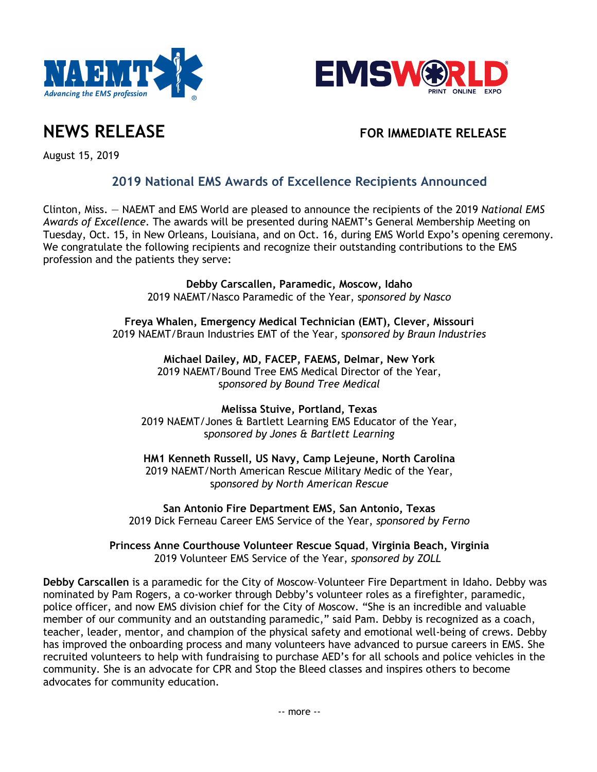



## **NEWS RELEASE FOR IMMEDIATE RELEASE**

August 15, 2019

## **2019 National EMS Awards of Excellence Recipients Announced**

Clinton, Miss. — NAEMT and EMS World are pleased to announce the recipients of the 2019 *National EMS Awards of Excellence*. The awards will be presented during NAEMT's General Membership Meeting on Tuesday, Oct. 15, in New Orleans, Louisiana, and on Oct. 16, during EMS World Expo's opening ceremony. We congratulate the following recipients and recognize their outstanding contributions to the EMS profession and the patients they serve:

> **Debby Carscallen, Paramedic, Moscow, Idaho** 2019 NAEMT/Nasco Paramedic of the Year, s*ponsored by Nasco*

**Freya Whalen, Emergency Medical Technician (EMT), Clever, Missouri** 2019 NAEMT/Braun Industries EMT of the Year, s*ponsored by Braun Industries*

> **Michael Dailey, MD, FACEP, FAEMS, Delmar, New York** 2019 NAEMT/Bound Tree EMS Medical Director of the Year, s*ponsored by Bound Tree Medical*

**Melissa Stuive, Portland, Texas** 2019 NAEMT/Jones & Bartlett Learning EMS Educator of the Year, s*ponsored by Jones & Bartlett Learning*

**HM1 Kenneth Russell, US Navy, Camp Lejeune, North Carolina** 2019 NAEMT/North American Rescue Military Medic of the Year, s*ponsored by North American Rescue*

**San Antonio Fire Department EMS, San Antonio, Texas** 2019 Dick Ferneau Career EMS Service of the Year, *sponsored by Ferno*

**Princess Anne Courthouse Volunteer Rescue Squad**, **Virginia Beach, Virginia** 2019 Volunteer EMS Service of the Year, *sponsored by ZOLL*

**Debby Carscallen** is a paramedic for the City of Moscow–Volunteer Fire Department in Idaho. Debby was nominated by Pam Rogers, a co-worker through Debby's volunteer roles as a firefighter, paramedic, police officer, and now EMS division chief for the City of Moscow. "She is an incredible and valuable member of our community and an outstanding paramedic," said Pam. Debby is recognized as a coach, teacher, leader, mentor, and champion of the physical safety and emotional well-being of crews. Debby has improved the onboarding process and many volunteers have advanced to pursue careers in EMS. She recruited volunteers to help with fundraising to purchase AED's for all schools and police vehicles in the community. She is an advocate for CPR and Stop the Bleed classes and inspires others to become advocates for community education.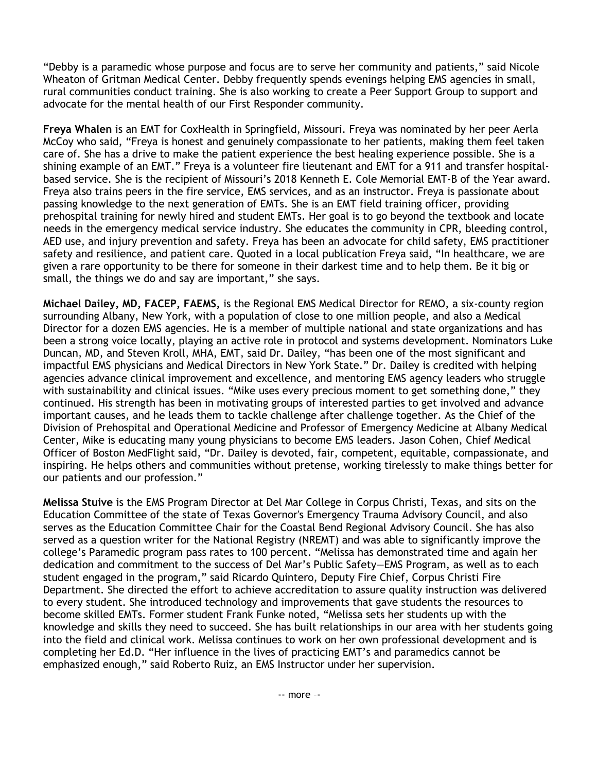"Debby is a paramedic whose purpose and focus are to serve her community and patients," said Nicole Wheaton of Gritman Medical Center. Debby frequently spends evenings helping EMS agencies in small, rural communities conduct training. She is also working to create a Peer Support Group to support and advocate for the mental health of our First Responder community.

**Freya Whalen** is an EMT for CoxHealth in Springfield, Missouri. Freya was nominated by her peer Aerla McCoy who said, "Freya is honest and genuinely compassionate to her patients, making them feel taken care of. She has a drive to make the patient experience the best healing experience possible. She is a shining example of an EMT." Freya is a volunteer fire lieutenant and EMT for a 911 and transfer hospitalbased service. She is the recipient of Missouri's 2018 Kenneth E. Cole Memorial EMT-B of the Year award. Freya also trains peers in the fire service, EMS services, and as an instructor. Freya is passionate about passing knowledge to the next generation of EMTs. She is an EMT field training officer, providing prehospital training for newly hired and student EMTs. Her goal is to go beyond the textbook and locate needs in the emergency medical service industry. She educates the community in CPR, bleeding control, AED use, and injury prevention and safety. Freya has been an advocate for child safety, EMS practitioner safety and resilience, and patient care. Quoted in a local publication Freya said, "In healthcare, we are given a rare opportunity to be there for someone in their darkest time and to help them. Be it big or small, the things we do and say are important," she says.

**Michael Dailey, MD, FACEP, FAEMS,** is the Regional EMS Medical Director for REMO, a six-county region surrounding Albany, New York, with a population of close to one million people, and also a Medical Director for a dozen EMS agencies. He is a member of multiple national and state organizations and has been a strong voice locally, playing an active role in protocol and systems development. Nominators Luke Duncan, MD, and Steven Kroll, MHA, EMT, said Dr. Dailey, "has been one of the most significant and impactful EMS physicians and Medical Directors in New York State." Dr. Dailey is credited with helping agencies advance clinical improvement and excellence, and mentoring EMS agency leaders who struggle with sustainability and clinical issues. "Mike uses every precious moment to get something done," they continued. His strength has been in motivating groups of interested parties to get involved and advance important causes, and he leads them to tackle challenge after challenge together. As the Chief of the Division of Prehospital and Operational Medicine and Professor of Emergency Medicine at Albany Medical Center, Mike is educating many young physicians to become EMS leaders. Jason Cohen, Chief Medical Officer of Boston MedFlight said, "Dr. Dailey is devoted, fair, competent, equitable, compassionate, and inspiring. He helps others and communities without pretense, working tirelessly to make things better for our patients and our profession."

**Melissa Stuive** is the EMS Program Director at Del Mar College in Corpus Christi, Texas, and sits on the Education Committee of the state of Texas Governor's Emergency Trauma Advisory Council, and also serves as the Education Committee Chair for the Coastal Bend Regional Advisory Council. She has also served as a question writer for the National Registry (NREMT) and was able to significantly improve the college's Paramedic program pass rates to 100 percent. "Melissa has demonstrated time and again her dedication and commitment to the success of Del Mar's Public Safety—EMS Program, as well as to each student engaged in the program," said Ricardo Quintero, Deputy Fire Chief, Corpus Christi Fire Department. She directed the effort to achieve accreditation to assure quality instruction was delivered to every student. She introduced technology and improvements that gave students the resources to become skilled EMTs. Former student Frank Funke noted, "Melissa sets her students up with the knowledge and skills they need to succeed. She has built relationships in our area with her students going into the field and clinical work. Melissa continues to work on her own professional development and is completing her Ed.D. "Her influence in the lives of practicing EMT's and paramedics cannot be emphasized enough," said Roberto Ruiz, an EMS Instructor under her supervision.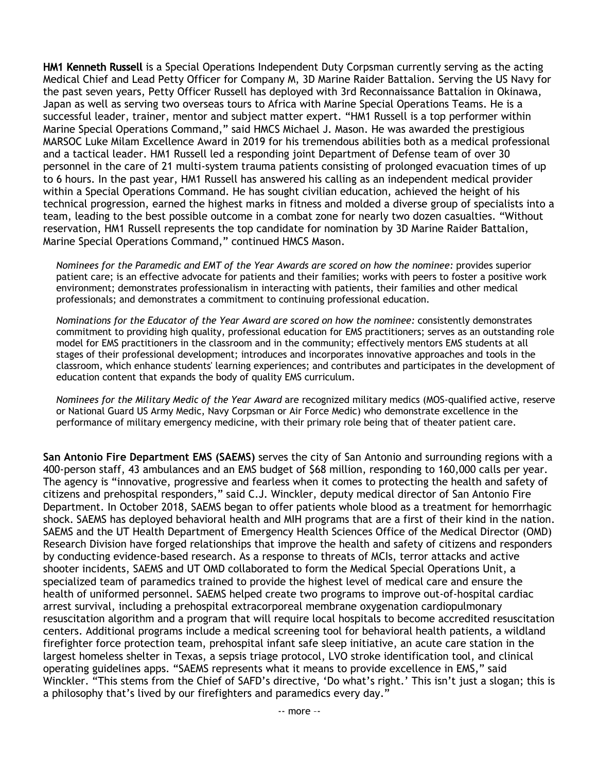HM1 Kenneth Russell is a Special Operations Independent Duty Corpsman currently serving as the acting Medical Chief and Lead Petty Officer for Company M, 3D Marine Raider Battalion. Serving the US Navy for the past seven years, Petty Officer Russell has deployed with 3rd Reconnaissance Battalion in Okinawa, Japan as well as serving two overseas tours to Africa with Marine Special Operations Teams. He is a successful leader, trainer, mentor and subject matter expert. "HM1 Russell is a top performer within Marine Special Operations Command," said HMCS Michael J. Mason. He was awarded the prestigious MARSOC Luke Milam Excellence Award in 2019 for his tremendous abilities both as a medical professional and a tactical leader. HM1 Russell led a responding joint Department of Defense team of over 30 personnel in the care of 21 multi-system trauma patients consisting of prolonged evacuation times of up to 6 hours. In the past year, HM1 Russell has answered his calling as an independent medical provider within a Special Operations Command. He has sought civilian education, achieved the height of his technical progression, earned the highest marks in fitness and molded a diverse group of specialists into a team, leading to the best possible outcome in a combat zone for nearly two dozen casualties. "Without reservation, HM1 Russell represents the top candidate for nomination by 3D Marine Raider Battalion, Marine Special Operations Command," continued HMCS Mason.

*Nominees for the Paramedic and EMT of the Year Awards are scored on how the nominee:* provides superior patient care; is an effective advocate for patients and their families; works with peers to foster a positive work environment; demonstrates professionalism in interacting with patients, their families and other medical professionals; and demonstrates a commitment to continuing professional education.

*Nominations for the Educator of the Year Award are scored on how the nominee:* consistently demonstrates commitment to providing high quality, professional education for EMS practitioners; serves as an outstanding role model for EMS practitioners in the classroom and in the community; effectively mentors EMS students at all stages of their professional development; introduces and incorporates innovative approaches and tools in the classroom, which enhance students' learning experiences; and contributes and participates in the development of education content that expands the body of quality EMS curriculum.

*Nominees for the Military Medic of the Year Award* are recognized military medics (MOS-qualified active, reserve or National Guard US Army Medic, Navy Corpsman or Air Force Medic) who demonstrate excellence in the performance of military emergency medicine, with their primary role being that of theater patient care.

**San Antonio Fire Department EMS (SAEMS)** serves the city of San Antonio and surrounding regions with a 400-person staff, 43 ambulances and an EMS budget of \$68 million, responding to 160,000 calls per year. The agency is "innovative, progressive and fearless when it comes to protecting the health and safety of citizens and prehospital responders," said C.J. Winckler, deputy medical director of San Antonio Fire Department. In October 2018, SAEMS began to offer patients whole blood as a treatment for hemorrhagic shock. SAEMS has deployed behavioral health and MIH programs that are a first of their kind in the nation. SAEMS and the UT Health Department of Emergency Health Sciences Office of the Medical Director (OMD) Research Division have forged relationships that improve the health and safety of citizens and responders by conducting evidence-based research. As a response to threats of MCIs, terror attacks and active shooter incidents, SAEMS and UT OMD collaborated to form the Medical Special Operations Unit, a specialized team of paramedics trained to provide the highest level of medical care and ensure the health of uniformed personnel. SAEMS helped create two programs to improve out-of-hospital cardiac arrest survival, including a prehospital extracorporeal membrane oxygenation cardiopulmonary resuscitation algorithm and a program that will require local hospitals to become accredited resuscitation centers. Additional programs include a medical screening tool for behavioral health patients, a wildland firefighter force protection team, prehospital infant safe sleep initiative, an acute care station in the largest homeless shelter in Texas, a sepsis triage protocol, LVO stroke identification tool, and clinical operating guidelines apps. "SAEMS represents what it means to provide excellence in EMS," said Winckler. "This stems from the Chief of SAFD's directive, 'Do what's right.' This isn't just a slogan; this is a philosophy that's lived by our firefighters and paramedics every day."